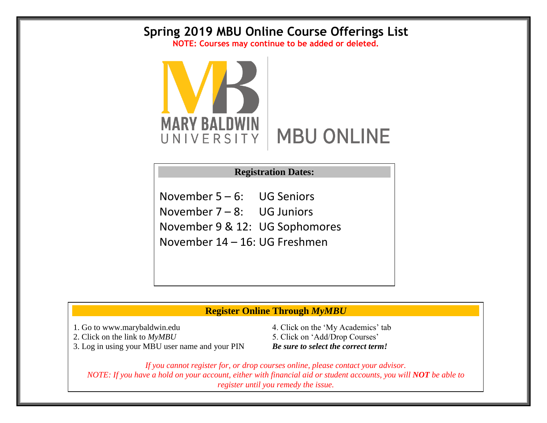## **Spring 2019 MBU Online Course Offerings List**

**NOTE: Courses may continue to be added or deleted.**



## **Registration Dates:**

November 5 – 6: UG Seniors November 7 – 8: UG Juniors November 9 & 12: UG Sophomores November 14 – 16: UG Freshmen

## **Register Online Through** *MyMBU*

3. Log in using your MBU user name and your PIN *Be sure to select the correct term!*

1. Go to www.marybaldwin.edu 4. Click on the 'My Academics' tab 2. Click on the link to  $MyMBU$  5. Click on 'Add/Drop Courses'

*If you cannot register for, or drop courses online, please contact your advisor. NOTE: If you have a hold on your account, either with financial aid or student accounts, you will NOT be able to register until you remedy the issue.*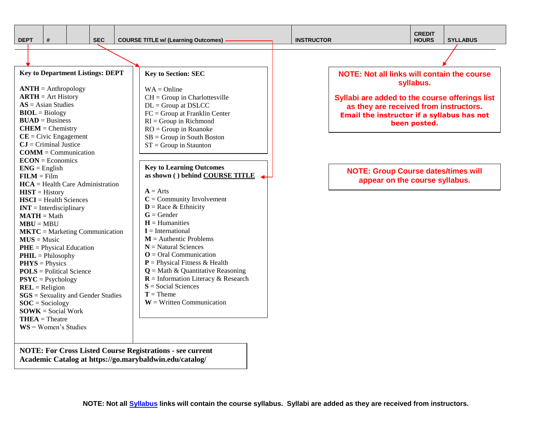| nE<br>ı |  |
|---------|--|

**\_\_\_\_\_\_\_\_\_\_\_\_\_\_\_\_\_\_\_\_\_\_\_\_\_\_\_\_\_\_\_\_\_\_\_\_\_\_\_\_\_\_\_\_\_\_\_\_\_\_\_\_\_\_\_\_\_\_\_\_\_\_\_\_\_\_\_\_\_\_\_\_\_\_\_\_\_\_\_\_\_\_\_\_\_\_\_\_\_\_\_\_\_\_\_\_\_\_\_\_\_\_\_\_\_\_\_\_\_\_\_\_\_\_\_\_\_\_\_\_\_\_\_\_\_\_\_\_\_\_\_\_\_\_\_\_\_\_\_\_\_\_\_\_\_\_\_\_\_\_\_\_\_\_\_\_\_\_\_\_\_\_\_\_\_\_\_\_\_\_\_\_\_\_**

**Key to Department Listings: DEPT ANTH** = Anthropology **ARTH** = Art History **AS** = Asian Studies **BIOL** = Biology **BUAD** = Business **CHEM** = Chemistry **CE** = Civic Engagement **CJ** = Criminal Justice **COMM** = Communication **ECON** = Economics  $ENG =$  English  $$ **HCA** = Health Care Administration **HIST** = History **HSCI** = Health Sciences **INT** = Interdisciplinary **MATH** = Math  $MBU = MBU$ **MKTC** = Marketing Communication **MUS** = Music **PHE** = Physical Education **PHIL** = Philosophy **PHYS** = Physics **POLS** = Political Science **PSYC** = Psychology **REL** = Religion **SGS** = Sexuality and Gender Studies **SOC** = Sociology **SOWK** = Social Work **THEA** = Theatre **WS** = Women's Studies

**Key to Learning Outcomes as shown ( ) behind COURSE TITLE**  $A = Arts$ **C** = Community Involvement  $D =$ Race & Ethnicity  $G =$ Gender  $H =$ Humanities **I** = International **M** = Authentic Problems **N** = Natural Sciences **O** = Oral Communication **P** = Physical Fitness & Health  $Q = \text{Math} \& \text{Quantitative Reasoning}$ **R** = Information Literacy & Research **S** = Social Sciences  $T =$ Theme **W** = Written Communication **Key to Section: SEC**  $WA = Online$  $CH = Group$  in Charlottesville  $DL = Group$  at  $DSLCC$ FC = Group at Franklin Center  $RI = Group$  in Richmond RO = Group in Roanoke  $SB = Group$  in South Boston  $ST = Group$  in Staunton

**NOTE: For Cross Listed Course Registrations - see current Academic Catalog at https://go.marybaldwin.edu/catalog/**

**NOTE: Not all links will contain the course syllabus.**

**Syllabi are added to the course offerings list as they are received from instructors. Email the instructor if a syllabus has not been posted.** 

**NOTE: Group Course dates/times will appear on the course syllabus.**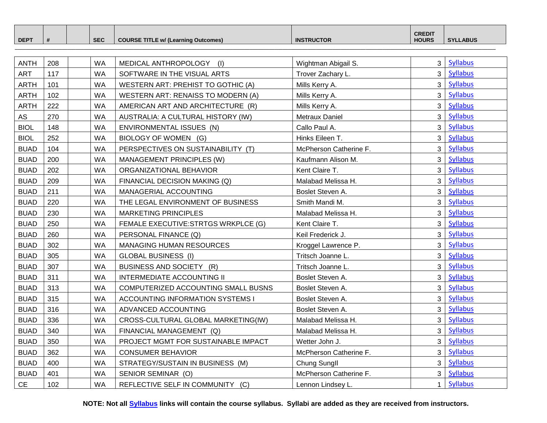|                  |  |            |                                            |                   | <b>CREDIT</b> |                 |
|------------------|--|------------|--------------------------------------------|-------------------|---------------|-----------------|
| DEP <sup>T</sup> |  | <b>SEC</b> | <b>COURSE TITLE w/ (Learning Outcomes)</b> | <b>INSTRUCTOR</b> | <b>HOURS</b>  | <b>SYLLABUS</b> |

**\_\_\_\_\_\_\_\_\_\_\_\_\_\_\_\_\_\_\_\_\_\_\_\_\_\_\_\_\_\_\_\_\_\_\_\_\_\_\_\_\_\_\_\_\_\_\_\_\_\_\_\_\_\_\_\_\_\_\_\_\_\_\_\_\_\_\_\_\_\_\_\_\_\_\_\_\_\_\_\_\_\_\_\_\_\_\_\_\_\_\_\_\_\_\_\_\_\_\_\_\_\_\_\_\_\_\_\_\_\_\_\_\_\_\_\_\_\_\_\_\_\_\_\_\_\_\_\_\_\_\_\_\_\_\_\_\_\_\_\_\_\_\_\_\_\_\_\_\_\_\_\_\_\_\_\_\_\_\_\_\_\_\_\_\_\_\_\_\_\_\_\_\_\_**

| <b>ANTH</b> | 208 | <b>WA</b> | MEDICAL ANTHROPOLOGY (I)            | Wightman Abigail S.    | 3              | Syllabus        |
|-------------|-----|-----------|-------------------------------------|------------------------|----------------|-----------------|
| <b>ART</b>  | 117 | <b>WA</b> | SOFTWARE IN THE VISUAL ARTS         | Trover Zachary L.      | $\mathbf{3}$   | <b>Syllabus</b> |
| <b>ARTH</b> | 101 | <b>WA</b> | WESTERN ART: PREHIST TO GOTHIC (A)  | Mills Kerry A.         | $\overline{3}$ | Syllabus        |
| <b>ARTH</b> | 102 | <b>WA</b> | WESTERN ART: RENAISS TO MODERN (A)  | Mills Kerry A.         | 3              | <b>Syllabus</b> |
| <b>ARTH</b> | 222 | <b>WA</b> | AMERICAN ART AND ARCHITECTURE (R)   | Mills Kerry A.         | 3              | <b>Syllabus</b> |
| AS          | 270 | <b>WA</b> | AUSTRALIA: A CULTURAL HISTORY (IW)  | Metraux Daniel         | $\mathbf{3}$   | Syllabus        |
| <b>BIOL</b> | 148 | <b>WA</b> | ENVIRONMENTAL ISSUES (N)            | Callo Paul A.          | 3              | <b>Syllabus</b> |
| <b>BIOL</b> | 252 | <b>WA</b> | BIOLOGY OF WOMEN (G)                | Hinks Eileen T.        | $\mathbf{3}$   | <b>Syllabus</b> |
| <b>BUAD</b> | 104 | <b>WA</b> | PERSPECTIVES ON SUSTAINABILITY (T)  | McPherson Catherine F. | $\overline{3}$ | Syllabus        |
| <b>BUAD</b> | 200 | <b>WA</b> | MANAGEMENT PRINCIPLES (W)           | Kaufmann Alison M.     | 3              | <b>Syllabus</b> |
| <b>BUAD</b> | 202 | <b>WA</b> | ORGANIZATIONAL BEHAVIOR             | Kent Claire T.         | 3              | Syllabus        |
| <b>BUAD</b> | 209 | <b>WA</b> | FINANCIAL DECISION MAKING (Q)       | Malabad Melissa H.     | 3              | <b>Syllabus</b> |
| <b>BUAD</b> | 211 | <b>WA</b> | MANAGERIAL ACCOUNTING               | Boslet Steven A.       | $\mathbf{3}$   | <b>Syllabus</b> |
| <b>BUAD</b> | 220 | <b>WA</b> | THE LEGAL ENVIRONMENT OF BUSINESS   | Smith Mandi M.         | $\mathbf{3}$   | Syllabus        |
| <b>BUAD</b> | 230 | <b>WA</b> | <b>MARKETING PRINCIPLES</b>         | Malabad Melissa H.     | $\mathbf{3}$   | <b>Syllabus</b> |
| <b>BUAD</b> | 250 | <b>WA</b> | FEMALE EXECUTIVE:STRTGS WRKPLCE (G) | Kent Claire T.         | 3              | <b>Syllabus</b> |
| <b>BUAD</b> | 260 | <b>WA</b> | PERSONAL FINANCE (Q)                | Keil Frederick J.      | $\mathbf{3}$   | Syllabus        |
| <b>BUAD</b> | 302 | <b>WA</b> | <b>MANAGING HUMAN RESOURCES</b>     | Kroggel Lawrence P.    | $\overline{3}$ | <b>Syllabus</b> |
| <b>BUAD</b> | 305 | <b>WA</b> | <b>GLOBAL BUSINESS (I)</b>          | Tritsch Joanne L.      | $\mathbf{3}$   | <b>Syllabus</b> |
| <b>BUAD</b> | 307 | <b>WA</b> | BUSINESS AND SOCIETY (R)            | Tritsch Joanne L.      | $\mathbf{3}$   | <b>Syllabus</b> |
| <b>BUAD</b> | 311 | <b>WA</b> | <b>INTERMEDIATE ACCOUNTING II</b>   | Boslet Steven A.       | 3              | <b>Syllabus</b> |
| <b>BUAD</b> | 313 | <b>WA</b> | COMPUTERIZED ACCOUNTING SMALL BUSNS | Boslet Steven A.       | 3              | <b>Syllabus</b> |
| <b>BUAD</b> | 315 | <b>WA</b> | ACCOUNTING INFORMATION SYSTEMS I    | Boslet Steven A.       | $\mathbf{3}$   | <b>Syllabus</b> |
| <b>BUAD</b> | 316 | <b>WA</b> | ADVANCED ACCOUNTING                 | Boslet Steven A.       | $\mathbf{3}$   | <b>Syllabus</b> |
| <b>BUAD</b> | 336 | <b>WA</b> | CROSS-CULTURAL GLOBAL MARKETING(IW) | Malabad Melissa H.     | $\mathbf{3}$   | <b>Syllabus</b> |
| <b>BUAD</b> | 340 | <b>WA</b> | FINANCIAL MANAGEMENT (Q)            | Malabad Melissa H.     | 3              | <b>Syllabus</b> |
| <b>BUAD</b> | 350 | <b>WA</b> | PROJECT MGMT FOR SUSTAINABLE IMPACT | Wetter John J.         | 3              | <b>Syllabus</b> |
| <b>BUAD</b> | 362 | <b>WA</b> | <b>CONSUMER BEHAVIOR</b>            | McPherson Catherine F. | $\mathbf{3}$   | Syllabus        |
| <b>BUAD</b> | 400 | <b>WA</b> | STRATEGY/SUSTAIN IN BUSINESS (M)    | Chung Sungll           | $\mathbf{3}$   | Syllabus        |
| <b>BUAD</b> | 401 | <b>WA</b> | SENIOR SEMINAR (O)                  | McPherson Catherine F. | $\mathbf{3}$   | <b>Syllabus</b> |
| <b>CE</b>   | 102 | <b>WA</b> | REFLECTIVE SELF IN COMMUNITY (C)    | Lennon Lindsey L.      | $\mathbf{1}$   | <b>Syllabus</b> |

**NOTE: Not all Syllabus links will contain the course syllabus. Syllabi are added as they are received from instructors.**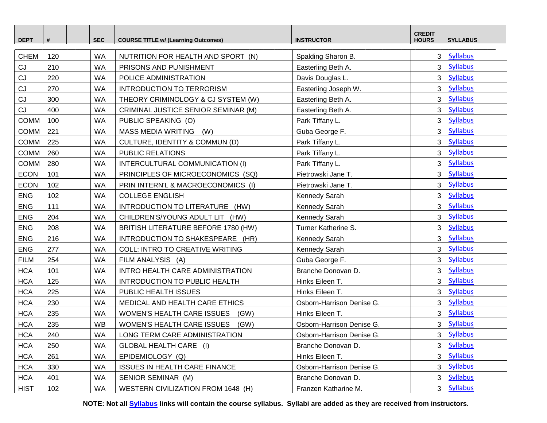| <b>DEPT</b> | #   | <b>SEC</b> | <b>COURSE TITLE w/ (Learning Outcomes)</b> | <b>INSTRUCTOR</b>         | <b>CREDIT</b><br><b>HOURS</b> | <b>SYLLABUS</b> |
|-------------|-----|------------|--------------------------------------------|---------------------------|-------------------------------|-----------------|
| <b>CHEM</b> | 120 | <b>WA</b>  | NUTRITION FOR HEALTH AND SPORT (N)         | Spalding Sharon B.        | 3 <sup>1</sup>                | <b>Syllabus</b> |
| CJ          | 210 | <b>WA</b>  | PRISONS AND PUNISHMENT                     | Easterling Beth A.        | $\overline{3}$                | <b>Syllabus</b> |
| CJ          | 220 | <b>WA</b>  | POLICE ADMINISTRATION                      | Davis Douglas L.          | 3 <sup>1</sup>                | <b>Syllabus</b> |
| CJ          | 270 | <b>WA</b>  | <b>INTRODUCTION TO TERRORISM</b>           | Easterling Joseph W.      | 3 <sup>1</sup>                | <b>Syllabus</b> |
| CJ          | 300 | <b>WA</b>  | THEORY CRIMINOLOGY & CJ SYSTEM (W)         | Easterling Beth A.        | 3 <sup>1</sup>                | <b>Syllabus</b> |
| CJ          | 400 | <b>WA</b>  | CRIMINAL JUSTICE SENIOR SEMINAR (M)        | Easterling Beth A.        | 3 <sup>1</sup>                | <b>Syllabus</b> |
| <b>COMM</b> | 100 | <b>WA</b>  | PUBLIC SPEAKING (O)                        | Park Tiffany L.           | $\mathbf{3}$                  | <b>Syllabus</b> |
| <b>COMM</b> | 221 | <b>WA</b>  | MASS MEDIA WRITING (W)                     | Guba George F.            | 3 <sup>1</sup>                | <b>Syllabus</b> |
| <b>COMM</b> | 225 | <b>WA</b>  | CULTURE, IDENTITY & COMMUN (D)             | Park Tiffany L.           | $\overline{3}$                | <b>Syllabus</b> |
| COMM        | 260 | <b>WA</b>  | PUBLIC RELATIONS                           | Park Tiffany L.           | $\overline{3}$                | <b>Syllabus</b> |
| <b>COMM</b> | 280 | <b>WA</b>  | INTERCULTURAL COMMUNICATION (I)            | Park Tiffany L.           | 3 <sup>1</sup>                | <b>Syllabus</b> |
| <b>ECON</b> | 101 | <b>WA</b>  | PRINCIPLES OF MICROECONOMICS (SQ)          | Pietrowski Jane T.        | 3 <sup>1</sup>                | <b>Syllabus</b> |
| <b>ECON</b> | 102 | <b>WA</b>  | PRIN INTERN'L & MACROECONOMICS (I)         | Pietrowski Jane T.        | 3 <sup>1</sup>                | <b>Syllabus</b> |
| <b>ENG</b>  | 102 | <b>WA</b>  | <b>COLLEGE ENGLISH</b>                     | Kennedy Sarah             | $\mathbf{3}$                  | <b>Syllabus</b> |
| <b>ENG</b>  | 111 | <b>WA</b>  | INTRODUCTION TO LITERATURE (HW)            | Kennedy Sarah             | 3 <sup>1</sup>                | <b>Syllabus</b> |
| <b>ENG</b>  | 204 | <b>WA</b>  | CHILDREN'S/YOUNG ADULT LIT (HW)            | Kennedy Sarah             | 3 <sup>1</sup>                | <b>Syllabus</b> |
| <b>ENG</b>  | 208 | <b>WA</b>  | BRITISH LITERATURE BEFORE 1780 (HW)        | Turner Katherine S.       | 3 <sup>1</sup>                | <b>Syllabus</b> |
| <b>ENG</b>  | 216 | <b>WA</b>  | INTRODUCTION TO SHAKESPEARE (HR)           | Kennedy Sarah             | 3 <sup>1</sup>                | Syllabus        |
| <b>ENG</b>  | 277 | <b>WA</b>  | <b>COLL: INTRO TO CREATIVE WRITING</b>     | Kennedy Sarah             | $\mathbf{3}$                  | <b>Syllabus</b> |
| <b>FILM</b> | 254 | <b>WA</b>  | FILM ANALYSIS (A)                          | Guba George F.            | 3 <sup>1</sup>                | <b>Syllabus</b> |
| <b>HCA</b>  | 101 | <b>WA</b>  | INTRO HEALTH CARE ADMINISTRATION           | Branche Donovan D.        | 3 <sup>1</sup>                | <b>Syllabus</b> |
| <b>HCA</b>  | 125 | <b>WA</b>  | <b>INTRODUCTION TO PUBLIC HEALTH</b>       | Hinks Eileen T.           | $\mathbf{3}$                  | <b>Syllabus</b> |
| <b>HCA</b>  | 225 | <b>WA</b>  | PUBLIC HEALTH ISSUES                       | Hinks Eileen T.           | 3 <sup>1</sup>                | <b>Syllabus</b> |
| <b>HCA</b>  | 230 | <b>WA</b>  | MEDICAL AND HEALTH CARE ETHICS             | Osborn-Harrison Denise G. | 3 <sup>1</sup>                | Syllabus        |
| <b>HCA</b>  | 235 | <b>WA</b>  | WOMEN'S HEALTH CARE ISSUES<br>(GW)         | Hinks Eileen T.           | 3 <sup>1</sup>                | Syllabus        |
| <b>HCA</b>  | 235 | <b>WB</b>  | WOMEN'S HEALTH CARE ISSUES<br>(GW)         | Osborn-Harrison Denise G. | $\mathbf{3}$                  | <b>Syllabus</b> |
| <b>HCA</b>  | 240 | <b>WA</b>  | LONG TERM CARE ADMINISTRATION              | Osborn-Harrison Denise G. |                               | 3   Syllabus    |
| <b>HCA</b>  | 250 | <b>WA</b>  | GLOBAL HEALTH CARE (I)                     | Branche Donovan D.        | 3 <sup>1</sup>                | <b>Syllabus</b> |
| <b>HCA</b>  | 261 | WA         | EPIDEMIOLOGY (Q)                           | Hinks Eileen T.           | 3 <sup>1</sup>                | <b>Syllabus</b> |
| <b>HCA</b>  | 330 | <b>WA</b>  | <b>ISSUES IN HEALTH CARE FINANCE</b>       | Osborn-Harrison Denise G. | 3 <sup>1</sup>                | <b>Syllabus</b> |
| <b>HCA</b>  | 401 | WA         | SENIOR SEMINAR (M)                         | Branche Donovan D.        | $\mathbf{3}$                  | <b>Syllabus</b> |
| <b>HIST</b> | 102 | WA         | WESTERN CIVILIZATION FROM 1648 (H)         | Franzen Katharine M.      |                               | 3 Syllabus      |

**NOTE: Not all Syllabus links will contain the course syllabus. Syllabi are added as they are received from instructors.**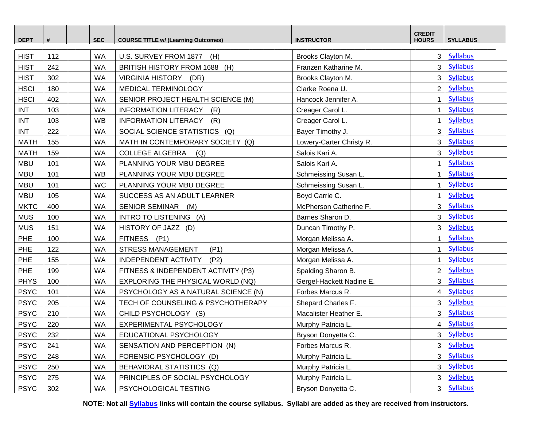| <b>DEPT</b> | #   | <b>SEC</b> | <b>COURSE TITLE w/ (Learning Outcomes)</b> | <b>INSTRUCTOR</b>        | <b>CREDIT</b><br><b>HOURS</b> | <b>SYLLABUS</b> |
|-------------|-----|------------|--------------------------------------------|--------------------------|-------------------------------|-----------------|
| <b>HIST</b> | 112 | <b>WA</b>  | U.S. SURVEY FROM 1877<br>(H)               | Brooks Clayton M.        | 3 <sup>1</sup>                | Syllabus        |
| <b>HIST</b> | 242 | <b>WA</b>  | BRITISH HISTORY FROM 1688 (H)              | Franzen Katharine M.     | 3 <sup>1</sup>                | <b>Syllabus</b> |
| <b>HIST</b> | 302 | <b>WA</b>  | VIRGINIA HISTORY (DR)                      | Brooks Clayton M.        | $\overline{3}$                | <b>Syllabus</b> |
| <b>HSCI</b> | 180 | <b>WA</b>  | MEDICAL TERMINOLOGY                        | Clarke Roena U.          | $\overline{2}$                | <b>Syllabus</b> |
| <b>HSCI</b> | 402 | <b>WA</b>  | SENIOR PROJECT HEALTH SCIENCE (M)          | Hancock Jennifer A.      | 1                             | Syllabus        |
| <b>INT</b>  | 103 | <b>WA</b>  | <b>INFORMATION LITERACY</b><br>(R)         | Creager Carol L.         | $\mathbf{1}$                  | <b>Syllabus</b> |
| <b>INT</b>  | 103 | <b>WB</b>  | <b>INFORMATION LITERACY</b><br>(R)         | Creager Carol L.         | 1                             | <b>Syllabus</b> |
| <b>INT</b>  | 222 | <b>WA</b>  | SOCIAL SCIENCE STATISTICS (Q)              | Bayer Timothy J.         | $\mathbf{3}$                  | Syllabus        |
| <b>MATH</b> | 155 | <b>WA</b>  | MATH IN CONTEMPORARY SOCIETY (Q)           | Lowery-Carter Christy R. | 3 <sup>1</sup>                | <b>Syllabus</b> |
| <b>MATH</b> | 159 | <b>WA</b>  | <b>COLLEGE ALGEBRA</b><br>(Q)              | Salois Kari A.           | $\overline{3}$                | <b>Syllabus</b> |
| <b>MBU</b>  | 101 | <b>WA</b>  | PLANNING YOUR MBU DEGREE                   | Salois Kari A.           | 1                             | <b>Syllabus</b> |
| <b>MBU</b>  | 101 | <b>WB</b>  | PLANNING YOUR MBU DEGREE                   | Schmeissing Susan L.     | 1                             | <b>Syllabus</b> |
| <b>MBU</b>  | 101 | <b>WC</b>  | PLANNING YOUR MBU DEGREE                   | Schmeissing Susan L.     | $\mathbf{1}$                  | <b>Syllabus</b> |
| <b>MBU</b>  | 105 | <b>WA</b>  | SUCCESS AS AN ADULT LEARNER                | Boyd Carrie C.           | $\mathbf{1}$                  | <b>Syllabus</b> |
| <b>MKTC</b> | 400 | <b>WA</b>  | SENIOR SEMINAR (M)                         | McPherson Catherine F.   | $\overline{3}$                | Syllabus        |
| <b>MUS</b>  | 100 | <b>WA</b>  | INTRO TO LISTENING (A)                     | Barnes Sharon D.         | 3 <sup>1</sup>                | <b>Syllabus</b> |
| <b>MUS</b>  | 151 | <b>WA</b>  | HISTORY OF JAZZ (D)                        | Duncan Timothy P.        | $\mathbf{3}$                  | <b>Syllabus</b> |
| PHE         | 100 | <b>WA</b>  | FITNESS (P1)                               | Morgan Melissa A.        | 1                             | Syllabus        |
| PHE         | 122 | <b>WA</b>  | <b>STRESS MANAGEMENT</b><br>(P1)           | Morgan Melissa A.        | 1                             | <b>Syllabus</b> |
| PHE         | 155 | <b>WA</b>  | INDEPENDENT ACTIVITY (P2)                  | Morgan Melissa A.        | 1                             | <b>Syllabus</b> |
| PHE         | 199 | <b>WA</b>  | FITNESS & INDEPENDENT ACTIVITY (P3)        | Spalding Sharon B.       | 2 <sup>1</sup>                | Syllabus        |
| <b>PHYS</b> | 100 | <b>WA</b>  | EXPLORING THE PHYSICAL WORLD (NQ)          | Gergel-Hackett Nadine E. | 3 <sup>1</sup>                | Syllabus        |
| <b>PSYC</b> | 101 | <b>WA</b>  | PSYCHOLOGY AS A NATURAL SCIENCE (N)        | Forbes Marcus R.         | $\overline{4}$                | <b>Syllabus</b> |
| <b>PSYC</b> | 205 | <b>WA</b>  | TECH OF COUNSELING & PSYCHOTHERAPY         | Shepard Charles F.       | $\mathbf{3}$                  | Syllabus        |
| <b>PSYC</b> | 210 | <b>WA</b>  | CHILD PSYCHOLOGY (S)                       | Macalister Heather E.    | 3 <sup>1</sup>                | Syllabus        |
| <b>PSYC</b> | 220 | <b>WA</b>  | EXPERIMENTAL PSYCHOLOGY                    | Murphy Patricia L.       | $\overline{4}$                | <b>Syllabus</b> |
| <b>PSYC</b> | 232 | <b>WA</b>  | EDUCATIONAL PSYCHOLOGY                     | Bryson Donyetta C.       |                               | 3   Syllabus    |
| <b>PSYC</b> | 241 | <b>WA</b>  | SENSATION AND PERCEPTION (N)               | Forbes Marcus R.         | 3 <sup>1</sup>                | <b>Syllabus</b> |
| <b>PSYC</b> | 248 | <b>WA</b>  | FORENSIC PSYCHOLOGY (D)                    | Murphy Patricia L.       | 3 <sup>1</sup>                | <b>Syllabus</b> |
| <b>PSYC</b> | 250 | <b>WA</b>  | BEHAVIORAL STATISTICS (Q)                  | Murphy Patricia L.       | $\mathbf{3}$                  | <b>Syllabus</b> |
| <b>PSYC</b> | 275 | WA         | PRINCIPLES OF SOCIAL PSYCHOLOGY            | Murphy Patricia L.       | 3                             | <b>Syllabus</b> |
| <b>PSYC</b> | 302 | WA         | PSYCHOLOGICAL TESTING                      | Bryson Donyetta C.       | 3 <sup>1</sup>                | <b>Syllabus</b> |

**NOTE: Not all Syllabus links will contain the course syllabus. Syllabi are added as they are received from instructors.**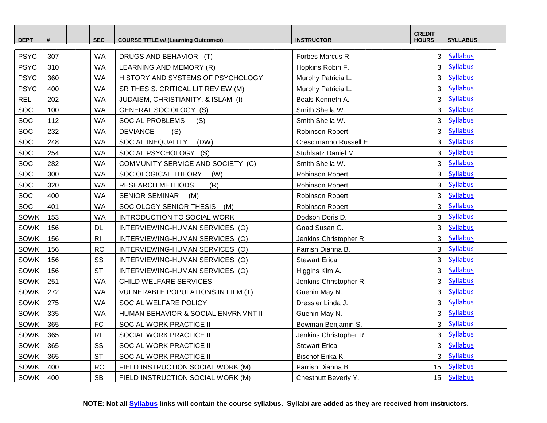| <b>DEPT</b> | #   | <b>SEC</b>     | <b>COURSE TITLE w/ (Learning Outcomes)</b> | <b>INSTRUCTOR</b>      | <b>CREDIT</b><br><b>HOURS</b> | <b>SYLLABUS</b> |
|-------------|-----|----------------|--------------------------------------------|------------------------|-------------------------------|-----------------|
| <b>PSYC</b> | 307 | <b>WA</b>      | DRUGS AND BEHAVIOR (T)                     | Forbes Marcus R.       | 3 <sup>1</sup>                | <b>Syllabus</b> |
| <b>PSYC</b> | 310 | <b>WA</b>      | LEARNING AND MEMORY (R)                    | Hopkins Robin F.       | 3 <sup>1</sup>                | <b>Syllabus</b> |
| <b>PSYC</b> | 360 | <b>WA</b>      | HISTORY AND SYSTEMS OF PSYCHOLOGY          | Murphy Patricia L.     | 3                             | <b>Syllabus</b> |
| <b>PSYC</b> | 400 | <b>WA</b>      | SR THESIS: CRITICAL LIT REVIEW (M)         | Murphy Patricia L.     | 3                             | <b>Syllabus</b> |
| <b>REL</b>  | 202 | <b>WA</b>      | JUDAISM, CHRISTIANITY, & ISLAM (I)         | Beals Kenneth A.       | $\overline{3}$                | <b>Syllabus</b> |
| SOC         | 100 | <b>WA</b>      | <b>GENERAL SOCIOLOGY (S)</b>               | Smith Sheila W.        | $\overline{3}$                | <b>Syllabus</b> |
| SOC         | 112 | <b>WA</b>      | SOCIAL PROBLEMS<br>(S)                     | Smith Sheila W.        | $\mathbf{3}$                  | <b>Syllabus</b> |
| SOC         | 232 | <b>WA</b>      | <b>DEVIANCE</b><br>(S)                     | Robinson Robert        | 3 <sup>1</sup>                | <b>Syllabus</b> |
| SOC         | 248 | <b>WA</b>      | SOCIAL INEQUALITY<br>(DW)                  | Crescimanno Russell E. | 3                             | <b>Syllabus</b> |
| SOC         | 254 | <b>WA</b>      | SOCIAL PSYCHOLOGY (S)                      | Stuhlsatz Daniel M.    | $\mathbf{3}$                  | <b>Syllabus</b> |
| SOC         | 282 | <b>WA</b>      | COMMUNITY SERVICE AND SOCIETY (C)          | Smith Sheila W.        | 3 <sup>1</sup>                | <b>Syllabus</b> |
| SOC         | 300 | <b>WA</b>      | SOCIOLOGICAL THEORY<br>(W)                 | Robinson Robert        | $\mathbf{3}$                  | <b>Syllabus</b> |
| SOC         | 320 | <b>WA</b>      | <b>RESEARCH METHODS</b><br>(R)             | Robinson Robert        | 3 <sup>1</sup>                | <b>Syllabus</b> |
| SOC         | 400 | <b>WA</b>      | <b>SENIOR SEMINAR</b><br>(M)               | Robinson Robert        | 3 <sup>1</sup>                | <b>Syllabus</b> |
| SOC         | 401 | <b>WA</b>      | SOCIOLOGY SENIOR THESIS (M)                | Robinson Robert        | 3 <sup>1</sup>                | <b>Syllabus</b> |
| <b>SOWK</b> | 153 | <b>WA</b>      | INTRODUCTION TO SOCIAL WORK                | Dodson Doris D.        | 3 <sup>1</sup>                | <b>Syllabus</b> |
| SOWK        | 156 | <b>DL</b>      | INTERVIEWING-HUMAN SERVICES (O)            | Goad Susan G.          | 3 <sup>1</sup>                | <b>Syllabus</b> |
| SOWK        | 156 | R <sub>l</sub> | INTERVIEWING-HUMAN SERVICES (O)            | Jenkins Christopher R. | 3 <sup>1</sup>                | <b>Syllabus</b> |
| SOWK        | 156 | <b>RO</b>      | INTERVIEWING-HUMAN SERVICES (O)            | Parrish Dianna B.      | 3 <sup>1</sup>                | <b>Syllabus</b> |
| <b>SOWK</b> | 156 | SS             | INTERVIEWING-HUMAN SERVICES (O)            | <b>Stewart Erica</b>   | $\mathbf{3}$                  | <b>Syllabus</b> |
| <b>SOWK</b> | 156 | <b>ST</b>      | INTERVIEWING-HUMAN SERVICES (O)            | Higgins Kim A.         | $\mathbf{3}$                  | <b>Syllabus</b> |
| SOWK        | 251 | <b>WA</b>      | CHILD WELFARE SERVICES                     | Jenkins Christopher R. | $\mathbf{3}$                  | <b>Syllabus</b> |
| SOWK        | 272 | <b>WA</b>      | <b>VULNERABLE POPULATIONS IN FILM (T)</b>  | Guenin May N.          | 3 <sup>1</sup>                | <b>Syllabus</b> |
| <b>SOWK</b> | 275 | <b>WA</b>      | SOCIAL WELFARE POLICY                      | Dressler Linda J.      | $\overline{3}$                | <b>Syllabus</b> |
| <b>SOWK</b> | 335 | <b>WA</b>      | HUMAN BEHAVIOR & SOCIAL ENVRNMNT II        | Guenin May N.          | 3                             | <b>Syllabus</b> |
| SOWK        | 365 | <b>FC</b>      | SOCIAL WORK PRACTICE II                    | Bowman Benjamin S.     | 3                             | <b>Syllabus</b> |
| <b>SOWK</b> | 365 | R <sub>l</sub> | SOCIAL WORK PRACTICE II                    | Jenkins Christopher R. | 3 <sup>1</sup>                | <b>Syllabus</b> |
| SOWK        | 365 | SS             | SOCIAL WORK PRACTICE II                    | <b>Stewart Erica</b>   | $\overline{3}$                | <b>Syllabus</b> |
| <b>SOWK</b> | 365 | <b>ST</b>      | SOCIAL WORK PRACTICE II                    | Bischof Erika K.       | $\overline{3}$                | <b>Syllabus</b> |
| SOWK        | 400 | <b>RO</b>      | FIELD INSTRUCTION SOCIAL WORK (M)          | Parrish Dianna B.      | 15 <sub>15</sub>              | <b>Syllabus</b> |
| SOWK        | 400 | <b>SB</b>      | FIELD INSTRUCTION SOCIAL WORK (M)          | Chestnutt Beverly Y.   | 15 <sup>1</sup>               | <b>Syllabus</b> |